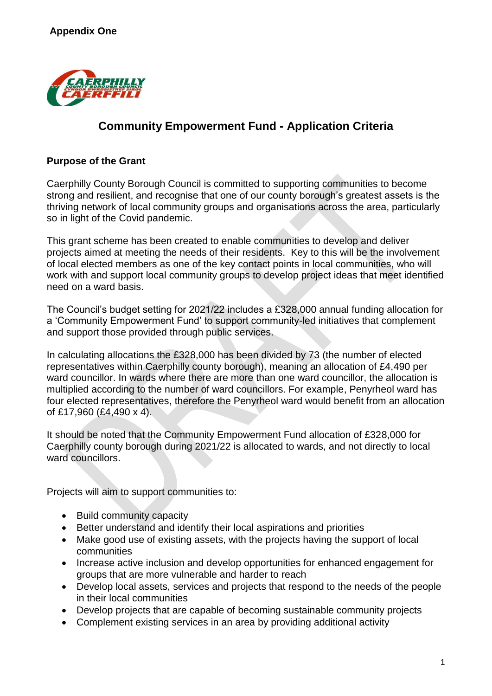

# **Community Empowerment Fund - Application Criteria**

### **Purpose of the Grant**

Caerphilly County Borough Council is committed to supporting communities to become strong and resilient, and recognise that one of our county borough's greatest assets is the thriving network of local community groups and organisations across the area, particularly so in light of the Covid pandemic.

This grant scheme has been created to enable communities to develop and deliver projects aimed at meeting the needs of their residents. Key to this will be the involvement of local elected members as one of the key contact points in local communities, who will work with and support local community groups to develop project ideas that meet identified need on a ward basis.

The Council's budget setting for 2021/22 includes a £328,000 annual funding allocation for a 'Community Empowerment Fund' to support community-led initiatives that complement and support those provided through public services.

In calculating allocations the £328,000 has been divided by 73 (the number of elected representatives within Caerphilly county borough), meaning an allocation of £4,490 per ward councillor. In wards where there are more than one ward councillor, the allocation is multiplied according to the number of ward councillors. For example, Penyrheol ward has four elected representatives, therefore the Penyrheol ward would benefit from an allocation of £17,960 (£4,490 x 4).

It should be noted that the Community Empowerment Fund allocation of £328,000 for Caerphilly county borough during 2021/22 is allocated to wards, and not directly to local ward councillors.

Projects will aim to support communities to:

- Build community capacity
- Better understand and identify their local aspirations and priorities
- Make good use of existing assets, with the projects having the support of local communities
- Increase active inclusion and develop opportunities for enhanced engagement for groups that are more vulnerable and harder to reach
- Develop local assets, services and projects that respond to the needs of the people in their local communities
- Develop projects that are capable of becoming sustainable community projects
- Complement existing services in an area by providing additional activity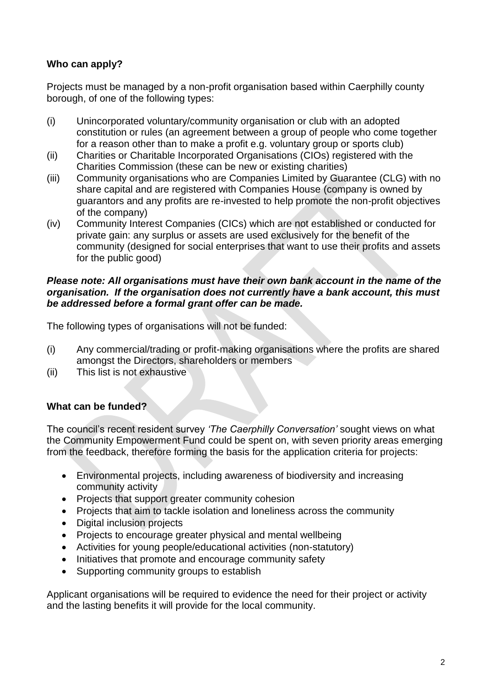## **Who can apply?**

Projects must be managed by a non-profit organisation based within Caerphilly county borough, of one of the following types:

- (i) Unincorporated voluntary/community organisation or club with an adopted constitution or rules (an agreement between a group of people who come together for a reason other than to make a profit e.g. voluntary group or sports club)
- (ii) Charities or Charitable Incorporated Organisations (CIOs) registered with the Charities Commission (these can be new or existing charities)
- (iii) Community organisations who are Companies Limited by Guarantee (CLG) with no share capital and are registered with Companies House (company is owned by guarantors and any profits are re-invested to help promote the non-profit objectives of the company)
- (iv) Community Interest Companies (CICs) which are not established or conducted for private gain: any surplus or assets are used exclusively for the benefit of the community (designed for social enterprises that want to use their profits and assets for the public good)

#### *Please note: All organisations must have their own bank account in the name of the organisation. If the organisation does not currently have a bank account, this must be addressed before a formal grant offer can be made.*

The following types of organisations will not be funded:

- (i) Any commercial/trading or profit-making organisations where the profits are shared amongst the Directors, shareholders or members
- (ii) This list is not exhaustive

## **What can be funded?**

The council's recent resident survey *'The Caerphilly Conversation'* sought views on what the Community Empowerment Fund could be spent on, with seven priority areas emerging from the feedback, therefore forming the basis for the application criteria for projects:

- Environmental projects, including awareness of biodiversity and increasing community activity
- Projects that support greater community cohesion
- Projects that aim to tackle isolation and loneliness across the community
- Digital inclusion projects
- Projects to encourage greater physical and mental wellbeing
- Activities for young people/educational activities (non-statutory)
- Initiatives that promote and encourage community safety
- Supporting community groups to establish

Applicant organisations will be required to evidence the need for their project or activity and the lasting benefits it will provide for the local community.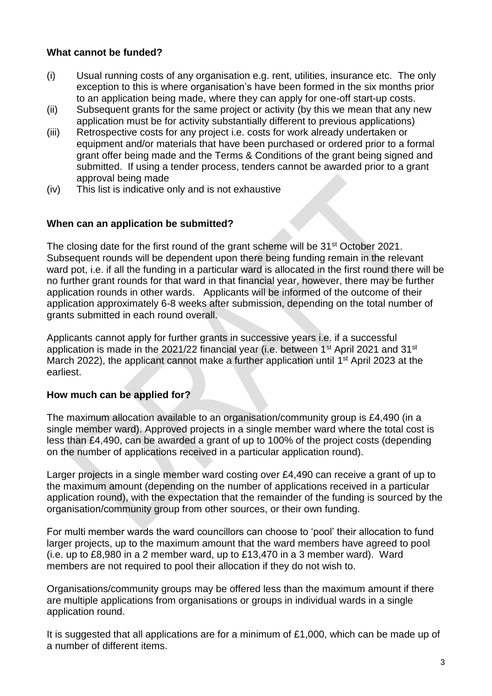## **What cannot be funded?**

- (i) Usual running costs of any organisation e.g. rent, utilities, insurance etc. The only exception to this is where organisation's have been formed in the six months prior to an application being made, where they can apply for one-off start-up costs.
- (ii) Subsequent grants for the same project or activity (by this we mean that any new application must be for activity substantially different to previous applications)
- (iii) Retrospective costs for any project i.e. costs for work already undertaken or equipment and/or materials that have been purchased or ordered prior to a formal grant offer being made and the Terms & Conditions of the grant being signed and submitted. If using a tender process, tenders cannot be awarded prior to a grant approval being made
- (iv) This list is indicative only and is not exhaustive

#### **When can an application be submitted?**

The closing date for the first round of the grant scheme will be 31<sup>st</sup> October 2021. Subsequent rounds will be dependent upon there being funding remain in the relevant ward pot, i.e. if all the funding in a particular ward is allocated in the first round there will be no further grant rounds for that ward in that financial year, however, there may be further application rounds in other wards. Applicants will be informed of the outcome of their application approximately 6-8 weeks after submission, depending on the total number of grants submitted in each round overall.

Applicants cannot apply for further grants in successive years i.e. if a successful application is made in the 2021/22 financial year (i.e. between 1<sup>st</sup> April 2021 and 31<sup>st</sup> March 2022), the applicant cannot make a further application until 1<sup>st</sup> April 2023 at the earliest.

#### **How much can be applied for?**

The maximum allocation available to an organisation/community group is £4,490 (in a single member ward). Approved projects in a single member ward where the total cost is less than £4,490, can be awarded a grant of up to 100% of the project costs (depending on the number of applications received in a particular application round).

Larger projects in a single member ward costing over £4,490 can receive a grant of up to the maximum amount (depending on the number of applications received in a particular application round), with the expectation that the remainder of the funding is sourced by the organisation/community group from other sources, or their own funding.

For multi member wards the ward councillors can choose to 'pool' their allocation to fund larger projects, up to the maximum amount that the ward members have agreed to pool (i.e. up to £8,980 in a 2 member ward, up to £13,470 in a 3 member ward). Ward members are not required to pool their allocation if they do not wish to.

Organisations/community groups may be offered less than the maximum amount if there are multiple applications from organisations or groups in individual wards in a single application round.

It is suggested that all applications are for a minimum of £1,000, which can be made up of a number of different items.